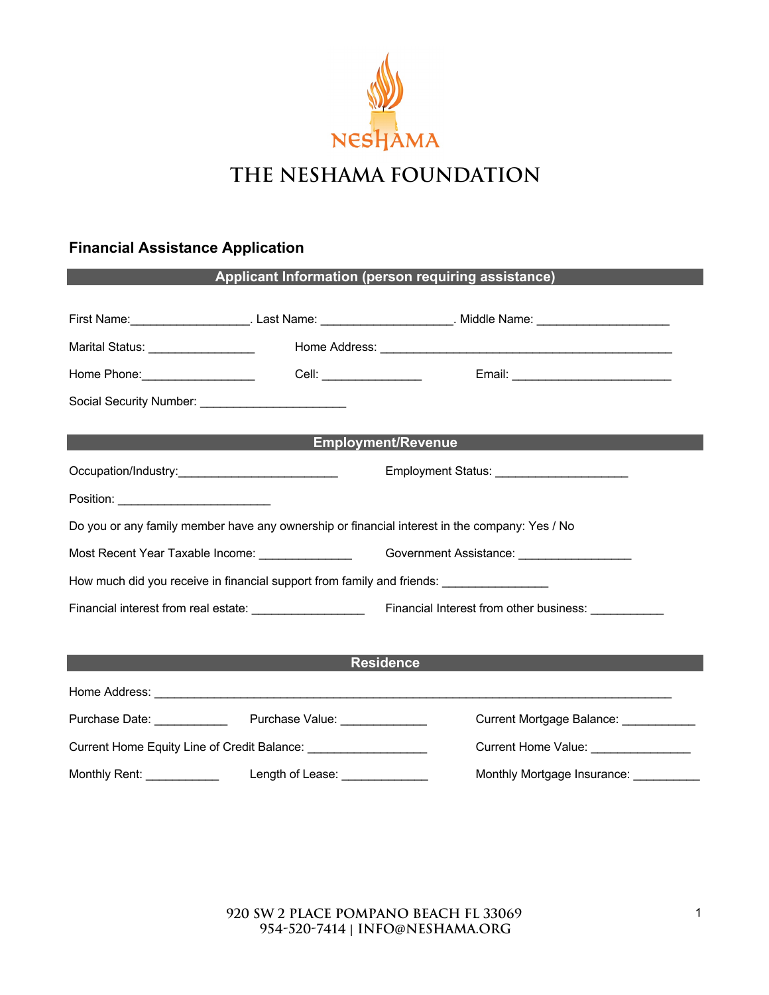

### **Financial Assistance Application**

| Applicant Information (person requiring assistance)                                                  |                                 |                                         |  |  |  |  |  |
|------------------------------------------------------------------------------------------------------|---------------------------------|-----------------------------------------|--|--|--|--|--|
|                                                                                                      |                                 |                                         |  |  |  |  |  |
|                                                                                                      |                                 |                                         |  |  |  |  |  |
| Marital Status: ___________________                                                                  |                                 |                                         |  |  |  |  |  |
| Home Phone: ___________________                                                                      | Cell: ____________________      |                                         |  |  |  |  |  |
| Social Security Number: ___________________________                                                  |                                 |                                         |  |  |  |  |  |
| Employment/Revenue                                                                                   |                                 |                                         |  |  |  |  |  |
|                                                                                                      |                                 |                                         |  |  |  |  |  |
| Employment Status: ________________________                                                          |                                 |                                         |  |  |  |  |  |
|                                                                                                      |                                 |                                         |  |  |  |  |  |
| Do you or any family member have any ownership or financial interest in the company: Yes / No        |                                 |                                         |  |  |  |  |  |
| Most Recent Year Taxable Income: ________________________Government Assistance: ____________________ |                                 |                                         |  |  |  |  |  |
| How much did you receive in financial support from family and friends: ________________              |                                 |                                         |  |  |  |  |  |
|                                                                                                      |                                 |                                         |  |  |  |  |  |
|                                                                                                      |                                 |                                         |  |  |  |  |  |
| <b>Residence</b>                                                                                     |                                 |                                         |  |  |  |  |  |
|                                                                                                      |                                 |                                         |  |  |  |  |  |
|                                                                                                      |                                 | Current Mortgage Balance: ____________  |  |  |  |  |  |
|                                                                                                      |                                 | Current Home Value: ________________    |  |  |  |  |  |
| Monthly Rent: <u>________________</u>                                                                | Length of Lease: ______________ | Monthly Mortgage Insurance: ___________ |  |  |  |  |  |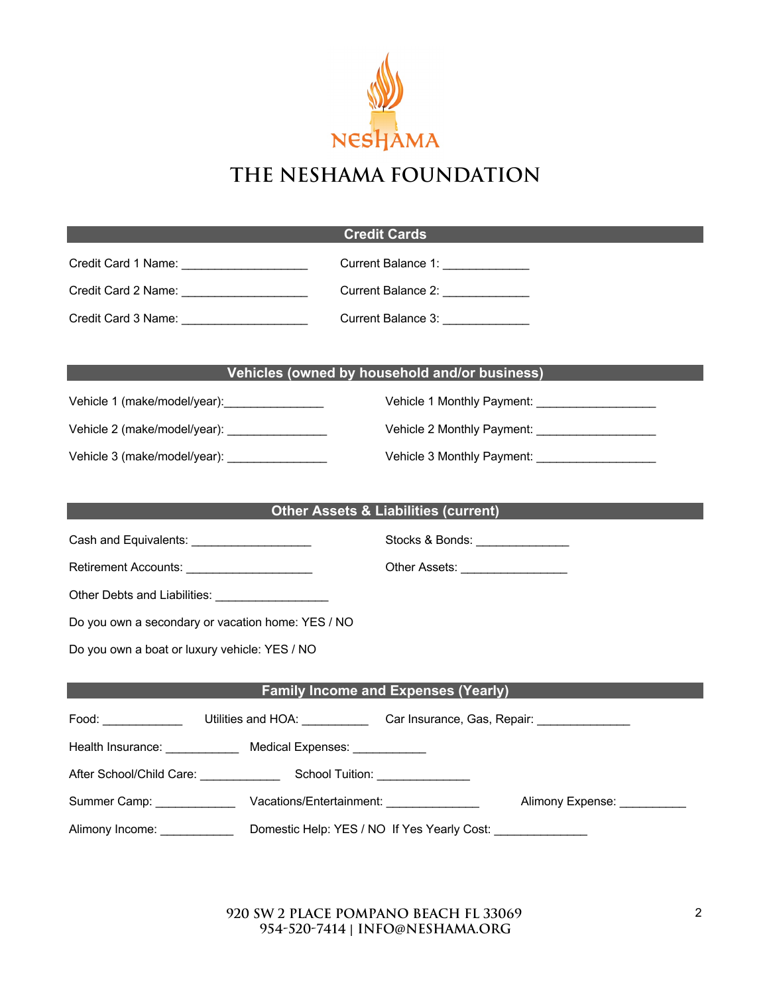

| <b>Credit Cards</b>                                                                                  |                                                       |  |  |  |  |
|------------------------------------------------------------------------------------------------------|-------------------------------------------------------|--|--|--|--|
| Credit Card 1 Name: _____________________                                                            | Current Balance 1: _____________                      |  |  |  |  |
|                                                                                                      | Current Balance 2: _____________                      |  |  |  |  |
|                                                                                                      | Current Balance 3: ______________                     |  |  |  |  |
|                                                                                                      |                                                       |  |  |  |  |
|                                                                                                      | Vehicles (owned by household and/or business)         |  |  |  |  |
| Vehicle 1 (make/model/year):                                                                         | Vehicle 1 Monthly Payment: Vehicle 1 Monthly Payment: |  |  |  |  |
| Vehicle 2 (make/model/year): _________________                                                       |                                                       |  |  |  |  |
| Vehicle 3 (make/model/year): ________________                                                        |                                                       |  |  |  |  |
|                                                                                                      |                                                       |  |  |  |  |
|                                                                                                      | <b>Other Assets &amp; Liabilities (current)</b>       |  |  |  |  |
| Cash and Equivalents: _____________________                                                          | Stocks & Bonds:                                       |  |  |  |  |
| Retirement Accounts: ______________________                                                          | Other Assets: __________________                      |  |  |  |  |
|                                                                                                      |                                                       |  |  |  |  |
| Do you own a secondary or vacation home: YES / NO                                                    |                                                       |  |  |  |  |
| Do you own a boat or luxury vehicle: YES / NO                                                        |                                                       |  |  |  |  |
|                                                                                                      | <b>Family Income and Expenses (Yearly)</b>            |  |  |  |  |
|                                                                                                      |                                                       |  |  |  |  |
| Food: __________________Utilities and HOA: ______________Car Insurance, Gas, Repair: _______________ |                                                       |  |  |  |  |
| Health Insurance: Medical Expenses: _________                                                        |                                                       |  |  |  |  |
|                                                                                                      |                                                       |  |  |  |  |
|                                                                                                      | Alimony Expense: ___________                          |  |  |  |  |
| Domestic Help: YES / NO If Yes Yearly Cost: _______________<br>Alimony Income: ____________          |                                                       |  |  |  |  |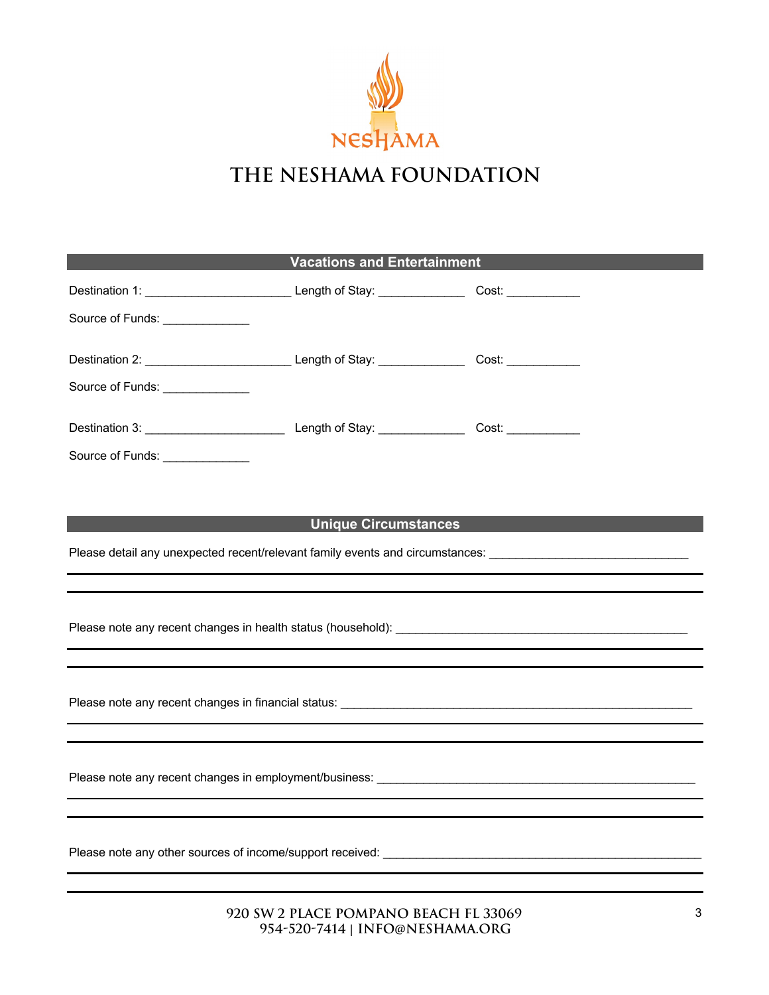

| <b>Vacations and Entertainment</b>                                                                                                                                      |                                                                                                                      |  |  |  |  |
|-------------------------------------------------------------------------------------------------------------------------------------------------------------------------|----------------------------------------------------------------------------------------------------------------------|--|--|--|--|
| Destination 1: ______________________________Length of Stay: __________________Cost: _____________                                                                      |                                                                                                                      |  |  |  |  |
|                                                                                                                                                                         |                                                                                                                      |  |  |  |  |
|                                                                                                                                                                         |                                                                                                                      |  |  |  |  |
|                                                                                                                                                                         |                                                                                                                      |  |  |  |  |
|                                                                                                                                                                         |                                                                                                                      |  |  |  |  |
|                                                                                                                                                                         |                                                                                                                      |  |  |  |  |
|                                                                                                                                                                         |                                                                                                                      |  |  |  |  |
|                                                                                                                                                                         |                                                                                                                      |  |  |  |  |
| <b>Example 2018 Monday Discussion Circumstances</b> Control of the Unique Circumstances                                                                                 |                                                                                                                      |  |  |  |  |
| Please detail any unexpected recent/relevant family events and circumstances: ________________________________                                                          |                                                                                                                      |  |  |  |  |
|                                                                                                                                                                         |                                                                                                                      |  |  |  |  |
|                                                                                                                                                                         |                                                                                                                      |  |  |  |  |
|                                                                                                                                                                         |                                                                                                                      |  |  |  |  |
|                                                                                                                                                                         |                                                                                                                      |  |  |  |  |
|                                                                                                                                                                         |                                                                                                                      |  |  |  |  |
| Please note any recent changes in employment/business:<br>The matter of the contract of the contract of the contract of the contract of the contract of the contract of |                                                                                                                      |  |  |  |  |
|                                                                                                                                                                         |                                                                                                                      |  |  |  |  |
|                                                                                                                                                                         |                                                                                                                      |  |  |  |  |
|                                                                                                                                                                         |                                                                                                                      |  |  |  |  |
|                                                                                                                                                                         | <u> 1989 - Johann Barbara, marka a shekara tsa 1989 - An tsa 1989 - An tsa 1989 - An tsa 1989 - An tsa 1989 - An</u> |  |  |  |  |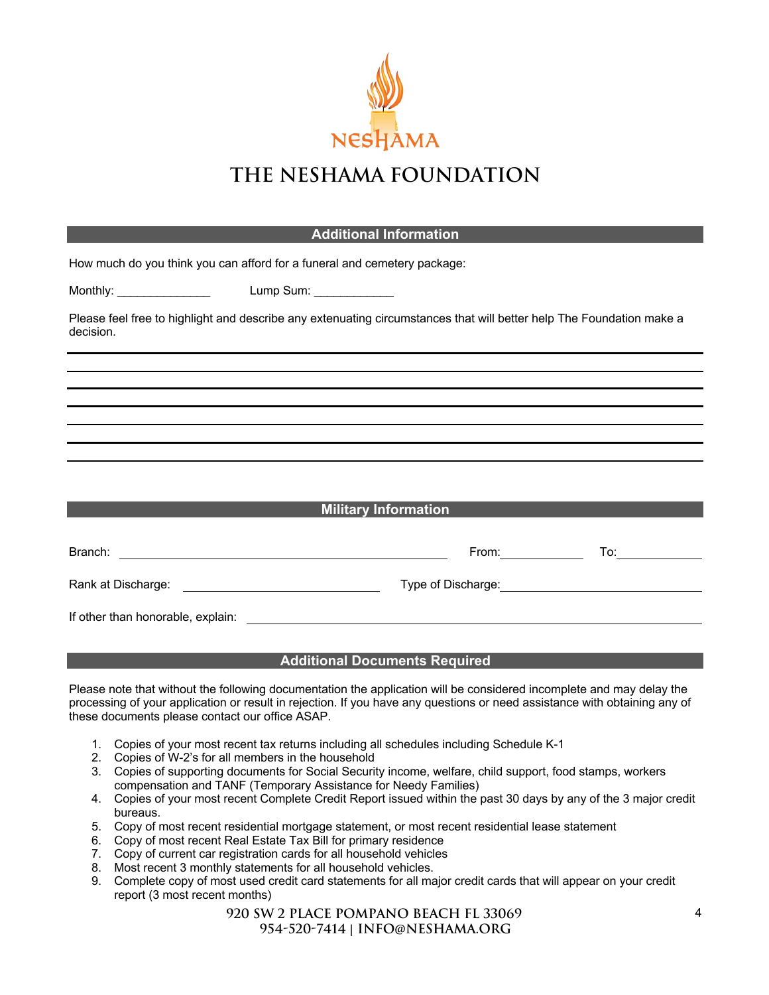

| <b>Additional Information</b>                                                                                                     |                                                  |                       |                                                                                                                |  |  |
|-----------------------------------------------------------------------------------------------------------------------------------|--------------------------------------------------|-----------------------|----------------------------------------------------------------------------------------------------------------|--|--|
| How much do you think you can afford for a funeral and cemetery package:                                                          |                                                  |                       |                                                                                                                |  |  |
| Monthly: __________________   Lump Sum: _____________                                                                             |                                                  |                       |                                                                                                                |  |  |
| Please feel free to highlight and describe any extenuating circumstances that will better help The Foundation make a<br>decision. |                                                  |                       |                                                                                                                |  |  |
|                                                                                                                                   |                                                  |                       |                                                                                                                |  |  |
|                                                                                                                                   |                                                  |                       |                                                                                                                |  |  |
|                                                                                                                                   |                                                  |                       |                                                                                                                |  |  |
|                                                                                                                                   |                                                  |                       |                                                                                                                |  |  |
|                                                                                                                                   |                                                  |                       |                                                                                                                |  |  |
|                                                                                                                                   |                                                  |                       |                                                                                                                |  |  |
| <b>Military Information</b>                                                                                                       |                                                  |                       |                                                                                                                |  |  |
|                                                                                                                                   |                                                  |                       |                                                                                                                |  |  |
|                                                                                                                                   |                                                  | From: $\qquad \qquad$ | To: and the state of the state of the state of the state of the state of the state of the state of the state o |  |  |
| Rank at Discharge: <u>___________________________________</u>                                                                     |                                                  |                       |                                                                                                                |  |  |
|                                                                                                                                   |                                                  |                       |                                                                                                                |  |  |
|                                                                                                                                   | <b>Additional Beneated Beneated</b> Benedict and |                       |                                                                                                                |  |  |

#### **Additional Documents Required**

Please note that without the following documentation the application will be considered incomplete and may delay the processing of your application or result in rejection. If you have any questions or need assistance with obtaining any of these documents please contact our office ASAP.

- 1. Copies of your most recent tax returns including all schedules including Schedule K-1
- 2. Copies of W-2's for all members in the household
- 3. Copies of supporting documents for Social Security income, welfare, child support, food stamps, workers compensation and TANF (Temporary Assistance for Needy Families)
- 4. Copies of your most recent Complete Credit Report issued within the past 30 days by any of the 3 major credit bureaus.
- 5. Copy of most recent residential mortgage statement, or most recent residential lease statement
- 6. Copy of most recent Real Estate Tax Bill for primary residence
- 7. Copy of current car registration cards for all household vehicles
- 8. Most recent 3 monthly statements for all household vehicles.
- 9. Complete copy of most used credit card statements for all major credit cards that will appear on your credit report (3 most recent months)

#### **920 SW 2 place pompano beach fl 33069 954-520-7414** | **info**@**neshama.org**